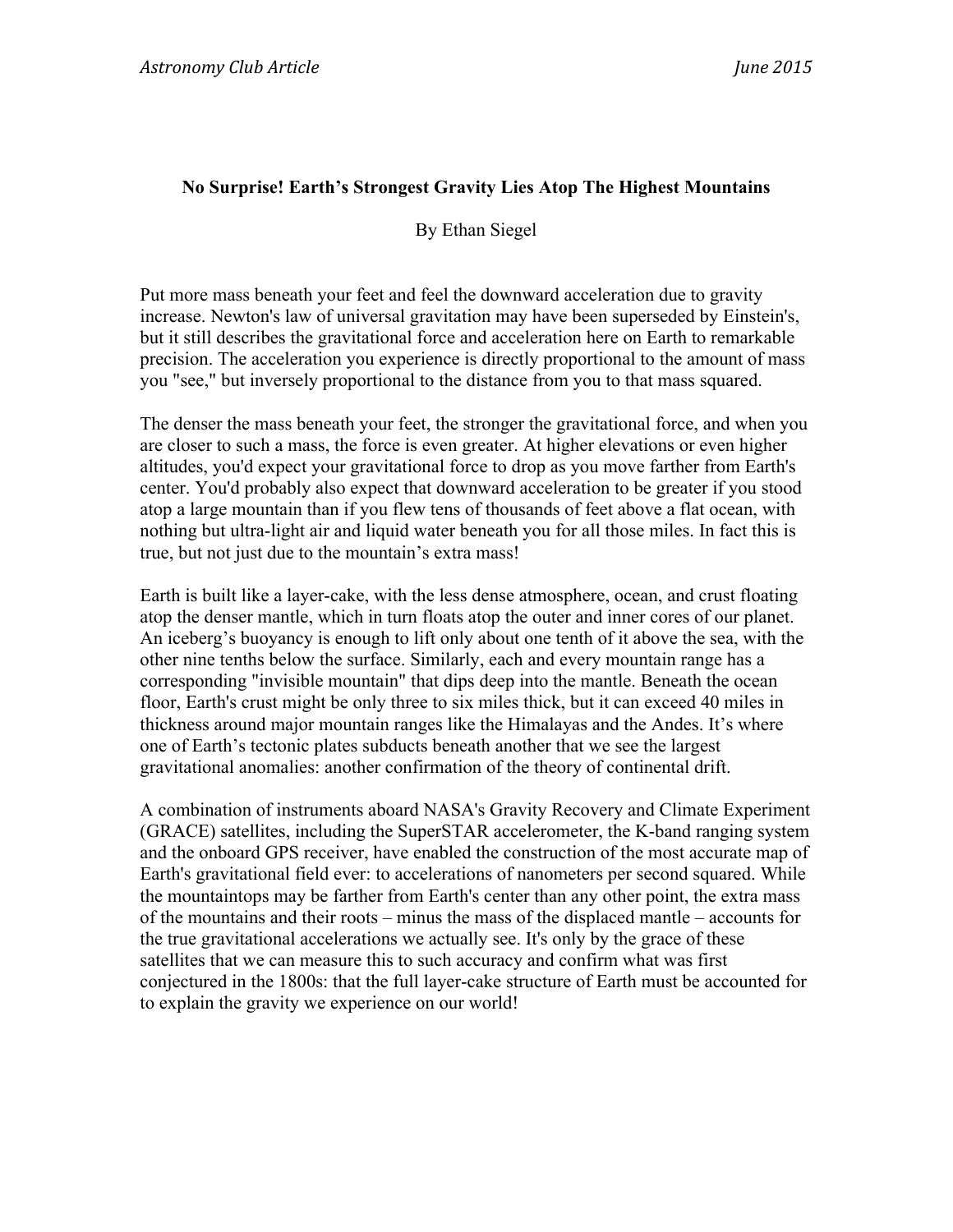## **No Surprise! Earth's Strongest Gravity Lies Atop The Highest Mountains**

By Ethan Siegel

Put more mass beneath your feet and feel the downward acceleration due to gravity increase. Newton's law of universal gravitation may have been superseded by Einstein's, but it still describes the gravitational force and acceleration here on Earth to remarkable precision. The acceleration you experience is directly proportional to the amount of mass you "see," but inversely proportional to the distance from you to that mass squared.

The denser the mass beneath your feet, the stronger the gravitational force, and when you are closer to such a mass, the force is even greater. At higher elevations or even higher altitudes, you'd expect your gravitational force to drop as you move farther from Earth's center. You'd probably also expect that downward acceleration to be greater if you stood atop a large mountain than if you flew tens of thousands of feet above a flat ocean, with nothing but ultra-light air and liquid water beneath you for all those miles. In fact this is true, but not just due to the mountain's extra mass!

Earth is built like a layer-cake, with the less dense atmosphere, ocean, and crust floating atop the denser mantle, which in turn floats atop the outer and inner cores of our planet. An iceberg's buoyancy is enough to lift only about one tenth of it above the sea, with the other nine tenths below the surface. Similarly, each and every mountain range has a corresponding "invisible mountain" that dips deep into the mantle. Beneath the ocean floor, Earth's crust might be only three to six miles thick, but it can exceed 40 miles in thickness around major mountain ranges like the Himalayas and the Andes. It's where one of Earth's tectonic plates subducts beneath another that we see the largest gravitational anomalies: another confirmation of the theory of continental drift.

A combination of instruments aboard NASA's Gravity Recovery and Climate Experiment (GRACE) satellites, including the SuperSTAR accelerometer, the K-band ranging system and the onboard GPS receiver, have enabled the construction of the most accurate map of Earth's gravitational field ever: to accelerations of nanometers per second squared. While the mountaintops may be farther from Earth's center than any other point, the extra mass of the mountains and their roots – minus the mass of the displaced mantle – accounts for the true gravitational accelerations we actually see. It's only by the grace of these satellites that we can measure this to such accuracy and confirm what was first conjectured in the 1800s: that the full layer-cake structure of Earth must be accounted for to explain the gravity we experience on our world!